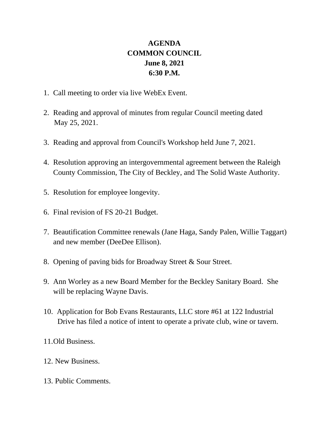## **AGENDA COMMON COUNCIL June 8, 2021 6:30 P.M.**

- 1. Call meeting to order via live WebEx Event.
- 2. Reading and approval of minutes from regular Council meeting dated May 25, 2021.
- 3. Reading and approval from Council's Workshop held June 7, 2021.
- 4. Resolution approving an intergovernmental agreement between the Raleigh County Commission, The City of Beckley, and The Solid Waste Authority.
- 5. Resolution for employee longevity.
- 6. Final revision of FS 20-21 Budget.
- 7. Beautification Committee renewals (Jane Haga, Sandy Palen, Willie Taggart) and new member (DeeDee Ellison).
- 8. Opening of paving bids for Broadway Street & Sour Street.
- 9. Ann Worley as a new Board Member for the Beckley Sanitary Board. She will be replacing Wayne Davis.
- 10. Application for Bob Evans Restaurants, LLC store #61 at 122 Industrial Drive has filed a notice of intent to operate a private club, wine or tavern.
- 11.Old Business.
- 12. New Business.
- 13. Public Comments.